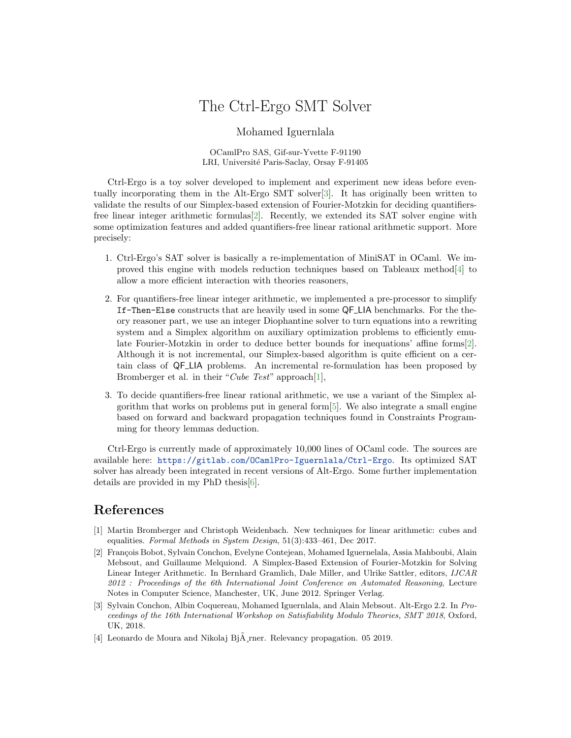## The Ctrl-Ergo SMT Solver

Mohamed Iguernlala

OCamlPro SAS, Gif-sur-Yvette F-91190 LRI, Université Paris-Saclay, Orsay F-91405

Ctrl-Ergo is a toy solver developed to implement and experiment new ideas before eventually incorporating them in the Alt-Ergo SMT solver[\[3\]](#page-0-0). It has originally been written to validate the results of our Simplex-based extension of Fourier-Motzkin for deciding quantifiersfree linear integer arithmetic formulas[\[2\]](#page-0-1). Recently, we extended its SAT solver engine with some optimization features and added quantifiers-free linear rational arithmetic support. More precisely:

- 1. Ctrl-Ergo's SAT solver is basically a re-implementation of MiniSAT in OCaml. We improved this engine with models reduction techniques based on Tableaux method  $|4|$  to allow a more efficient interaction with theories reasoners,
- 2. For quantifiers-free linear integer arithmetic, we implemented a pre-processor to simplify If-Then-Else constructs that are heavily used in some QF LIA benchmarks. For the theory reasoner part, we use an integer Diophantine solver to turn equations into a rewriting system and a Simplex algorithm on auxiliary optimization problems to efficiently emulate Fourier-Motzkin in order to deduce better bounds for inequations' affine forms[\[2\]](#page-0-1). Although it is not incremental, our Simplex-based algorithm is quite efficient on a certain class of QF LIA problems. An incremental re-formulation has been proposed by Bromberger et al. in their "Cube Test" approach[\[1\]](#page-0-3),
- 3. To decide quantifiers-free linear rational arithmetic, we use a variant of the Simplex algorithm that works on problems put in general form[\[5\]](#page-1-0). We also integrate a small engine based on forward and backward propagation techniques found in Constraints Programming for theory lemmas deduction.

Ctrl-Ergo is currently made of approximately 10,000 lines of OCaml code. The sources are available here: <https://gitlab.com/OCamlPro-Iguernlala/Ctrl-Ergo>. Its optimized SAT solver has already been integrated in recent versions of Alt-Ergo. Some further implementation details are provided in my PhD thesis[\[6\]](#page-1-1).

## References

- <span id="page-0-3"></span>[1] Martin Bromberger and Christoph Weidenbach. New techniques for linear arithmetic: cubes and equalities. Formal Methods in System Design, 51(3):433–461, Dec 2017.
- <span id="page-0-1"></span>[2] François Bobot, Sylvain Conchon, Evelyne Contejean, Mohamed Iguernelala, Assia Mahboubi, Alain Mebsout, and Guillaume Melquiond. A Simplex-Based Extension of Fourier-Motzkin for Solving Linear Integer Arithmetic. In Bernhard Gramlich, Dale Miller, and Ulrike Sattler, editors, IJCAR 2012 : Proceedings of the 6th International Joint Conference on Automated Reasoning, Lecture Notes in Computer Science, Manchester, UK, June 2012. Springer Verlag.
- <span id="page-0-0"></span>[3] Sylvain Conchon, Albin Coquereau, Mohamed Iguernlala, and Alain Mebsout. Alt-Ergo 2.2. In Proceedings of the 16th International Workshop on Satisfiability Modulo Theories, SMT 2018, Oxford, UK, 2018.
- <span id="page-0-2"></span>[4] Leonardo de Moura and Nikolaj Bj $\tilde{A}$ , rner. Relevancy propagation. 05 2019.